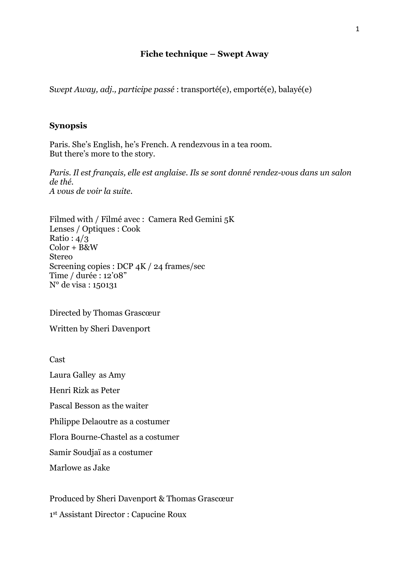## **Fiche technique – Swept Away**

S*wept Away, adj., participe passé* : transporté(e), emporté(e), balayé(e)

## **Synopsis**

Paris. She's English, he's French. A rendezvous in a tea room. But there's more to the story.

*Paris. Il est français, elle est anglaise. Ils se sont donné rendez-vous dans un salon de thé. A vous de voir la suite.*

Filmed with / Filmé avec : Camera Red Gemini 5K Lenses / Optiques : Cook Ratio :  $4/3$ Color + B&W Stereo Screening copies : DCP 4K / 24 frames/sec Time / durée : 12'08" N° de visa : 150131

Directed by Thomas Grascœur

Written by Sheri Davenport

Cast

Laura Galley as Amy

Henri Rizk as Peter

Pascal Besson as the waiter

Philippe Delaoutre as a costumer

Flora Bourne-Chastel as a costumer

Samir Soudjaï as a costumer

Marlowe as Jake

Produced by Sheri Davenport & Thomas Grascœur

1 st Assistant Director : Capucine Roux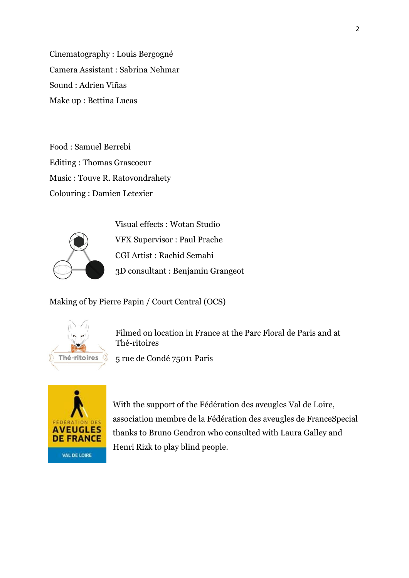Cinematography : Louis Bergogné Camera Assistant : Sabrina Nehmar Sound : Adrien Viñas Make up : Bettina Lucas

Food : Samuel Berrebi Editing : Thomas Grascoeur Music : Touve R. Ratovondrahety Colouring : Damien Letexier



Visual effects : Wotan Studio VFX Supervisor : Paul Prache CGI Artist : Rachid Semahi 3D consultant : Benjamin Grangeot

Making of by Pierre Papin / Court Central (OCS)



Filmed on location in France at the Parc Floral de Paris and at Thé-ritoires

5 rue de Condé 75011 Paris



With the support of the Fédération des aveugles Val de Loire, association membre de la Fédération des aveugles de FranceSpecial thanks to Bruno Gendron who consulted with Laura Galley and Henri Rizk to play blind people.